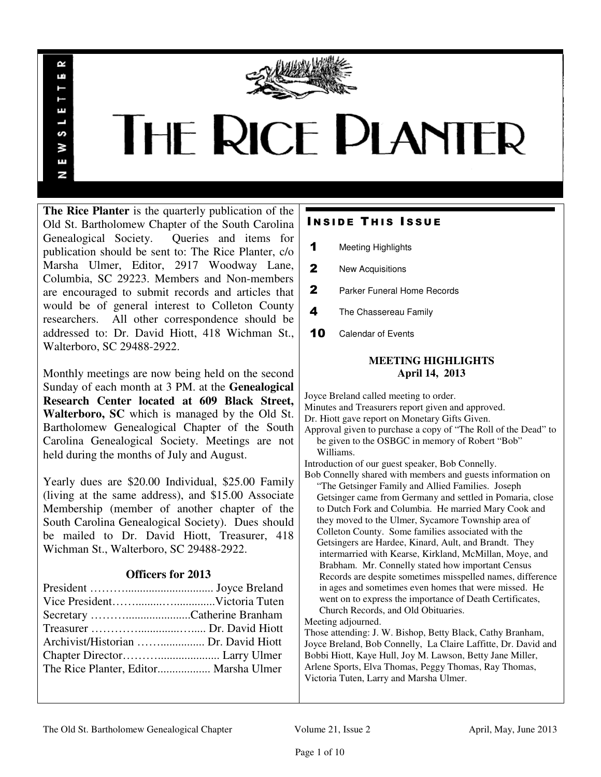

# **THE RICE PLANTER**

**The Rice Planter** is the quarterly publication of the Old St. Bartholomew Chapter of the South Carolina Genealogical Society. Queries and items for publication should be sent to: The Rice Planter, c/o Marsha Ulmer, Editor, 2917 Woodway Lane, Columbia, SC 29223. Members and Non-members are encouraged to submit records and articles that would be of general interest to Colleton County researchers. All other correspondence should be addressed to: Dr. David Hiott, 418 Wichman St., Walterboro, SC 29488-2922.

R uń

ш

S š E N

Monthly meetings are now being held on the second Sunday of each month at 3 PM. at the **Genealogical Research Center located at 609 Black Street, Walterboro, SC** which is managed by the Old St. Bartholomew Genealogical Chapter of the South Carolina Genealogical Society. Meetings are not held during the months of July and August.

Yearly dues are \$20.00 Individual, \$25.00 Family (living at the same address), and \$15.00 Associate Membership (member of another chapter of the South Carolina Genealogical Society). Dues should be mailed to Dr. David Hiott, Treasurer, 418 Wichman St., Walterboro, SC 29488-2922.

# **Officers for 2013**

| The Rice Planter, Editor Marsha Ulmer |  |
|---------------------------------------|--|

# **INSIDE THIS ISSUE**

- 1 Meeting Highlights
- 2 New Acquisitions
- 2 Parker Funeral Home Records
- 4 The Chassereau Family
- 10 Calendar of Events

# **MEETING HIGHLIGHTS April 14, 2013**

Joyce Breland called meeting to order. Minutes and Treasurers report given and approved. Dr. Hiott gave report on Monetary Gifts Given. Approval given to purchase a copy of "The Roll of the Dead" to be given to the OSBGC in memory of Robert "Bob" Williams. Introduction of our guest speaker, Bob Connelly. Bob Connelly shared with members and guests information on "The Getsinger Family and Allied Families. Joseph Getsinger came from Germany and settled in Pomaria, close to Dutch Fork and Columbia. He married Mary Cook and they moved to the Ulmer, Sycamore Township area of Colleton County. Some families associated with the Getsingers are Hardee, Kinard, Ault, and Brandt. They intermarried with Kearse, Kirkland, McMillan, Moye, and Brabham. Mr. Connelly stated how important Census Records are despite sometimes misspelled names, difference in ages and sometimes even homes that were missed. He went on to express the importance of Death Certificates, Church Records, and Old Obituaries. Meeting adjourned.

Those attending: J. W. Bishop, Betty Black, Cathy Branham, Joyce Breland, Bob Connelly, La Claire Laffitte, Dr. David and Bobbi Hiott, Kaye Hull, Joy M. Lawson, Betty Jane Miller, Arlene Sports, Elva Thomas, Peggy Thomas, Ray Thomas, Victoria Tuten, Larry and Marsha Ulmer.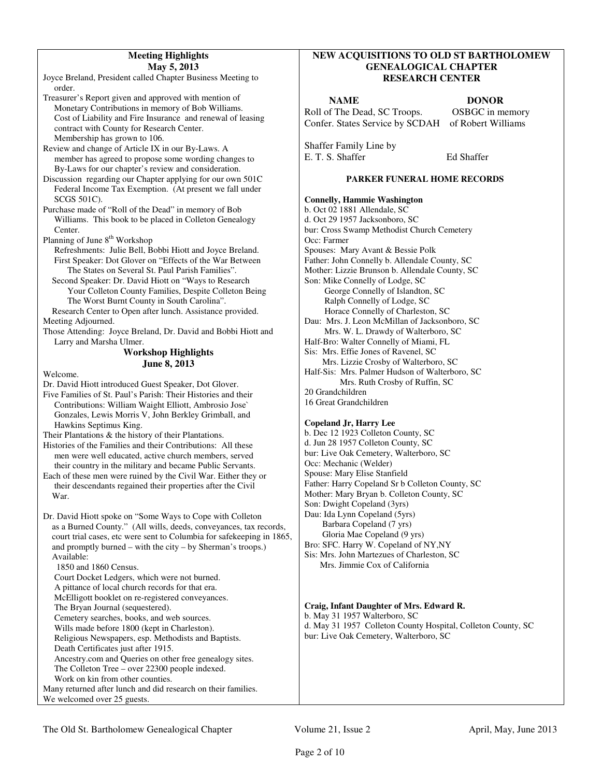### **Meeting Highlights May 5, 2013**

Joyce Breland, President called Chapter Business Meeting to order.

Treasurer's Report given and approved with mention of Monetary Contributions in memory of Bob Williams. Cost of Liability and Fire Insurance and renewal of leasing contract with County for Research Center. Membership has grown to 106.

Review and change of Article IX in our By-Laws. A member has agreed to propose some wording changes to By-Laws for our chapter's review and consideration.

Discussion regarding our Chapter applying for our own 501C Federal Income Tax Exemption. (At present we fall under SCGS 501C).

Purchase made of "Roll of the Dead" in memory of Bob Williams. This book to be placed in Colleton Genealogy Center.

Planning of June 8<sup>th</sup> Workshop

 Refreshments: Julie Bell, Bobbi Hiott and Joyce Breland. First Speaker: Dot Glover on "Effects of the War Between The States on Several St. Paul Parish Families".

 Second Speaker: Dr. David Hiott on "Ways to Research Your Colleton County Families, Despite Colleton Being The Worst Burnt County in South Carolina".

 Research Center to Open after lunch. Assistance provided. Meeting Adjourned.

Those Attending: Joyce Breland, Dr. David and Bobbi Hiott and Larry and Marsha Ulmer.

# **Workshop Highlights June 8, 2013**

Welcome.

Dr. David Hiott introduced Guest Speaker, Dot Glover.

Five Families of St. Paul's Parish: Their Histories and their Contributions: William Waight Elliott, Ambrosio Jose` Gonzales, Lewis Morris V, John Berkley Grimball, and Hawkins Septimus King.

Their Plantations & the history of their Plantations.

- Histories of the Families and their Contributions: All these men were well educated, active church members, served their country in the military and became Public Servants. Each of these men were ruined by the Civil War. Either they or
- their descendants regained their properties after the Civil War.

Dr. David Hiott spoke on "Some Ways to Cope with Colleton as a Burned County." (All wills, deeds, conveyances, tax records, court trial cases, etc were sent to Columbia for safekeeping in 1865, and promptly burned – with the city – by Sherman's troops.) Available:

1850 and 1860 Census.

 Court Docket Ledgers, which were not burned. A pittance of local church records for that era.

McElligott booklet on re-registered conveyances.

The Bryan Journal (sequestered).

Cemetery searches, books, and web sources.

- Wills made before 1800 (kept in Charleston).
- Religious Newspapers, esp. Methodists and Baptists.
- Death Certificates just after 1915.

 Ancestry.com and Queries on other free genealogy sites. The Colleton Tree – over 22300 people indexed.

Work on kin from other counties.

Many returned after lunch and did research on their families. We welcomed over 25 guests.

# **NEW ACQUISITIONS TO OLD ST BARTHOLOMEW GENEALOGICAL CHAPTER RESEARCH CENTER**

**NAME** DONOR Roll of The Dead, SC Troops. OSBGC in memory Confer. States Service by SCDAH of Robert Williams

Shaffer Family Line by E. T. S. Shaffer Ed Shaffer

# **PARKER FUNERAL HOME RECORDS**

## **Connelly, Hammie Washington**  b. Oct 02 1881 Allendale, SC d. Oct 29 1957 Jacksonboro, SC bur: Cross Swamp Methodist Church Cemetery Occ: Farmer Spouses: Mary Avant & Bessie Polk Father: John Connelly b. Allendale County, SC Mother: Lizzie Brunson b. Allendale County, SC Son: Mike Connelly of Lodge, SC George Connelly of Islandton, SC Ralph Connelly of Lodge, SC Horace Connelly of Charleston, SC Dau: Mrs. J. Leon McMillan of Jacksonboro, SC Mrs. W. L. Drawdy of Walterboro, SC Half-Bro: Walter Connelly of Miami, FL Sis: Mrs. Effie Jones of Ravenel, SC Mrs. Lizzie Crosby of Walterboro, SC Half-Sis: Mrs. Palmer Hudson of Walterboro, SC Mrs. Ruth Crosby of Ruffin, SC 20 Grandchildren 16 Great Grandchildren

# **Copeland Jr, Harry Lee**

b. Dec 12 1923 Colleton County, SC d. Jun 28 1957 Colleton County, SC bur: Live Oak Cemetery, Walterboro, SC Occ: Mechanic (Welder) Spouse: Mary Elise Stanfield Father: Harry Copeland Sr b Colleton County, SC Mother: Mary Bryan b. Colleton County, SC Son: Dwight Copeland (3yrs) Dau: Ida Lynn Copeland (5yrs) Barbara Copeland (7 yrs) Gloria Mae Copeland (9 yrs) Bro: SFC. Harry W. Copeland of NY,NY Sis: Mrs. John Martezues of Charleston, SC Mrs. Jimmie Cox of California

# **Craig, Infant Daughter of Mrs. Edward R.**

b. May 31 1957 Walterboro, SC d. May 31 1957 Colleton County Hospital, Colleton County, SC bur: Live Oak Cemetery, Walterboro, SC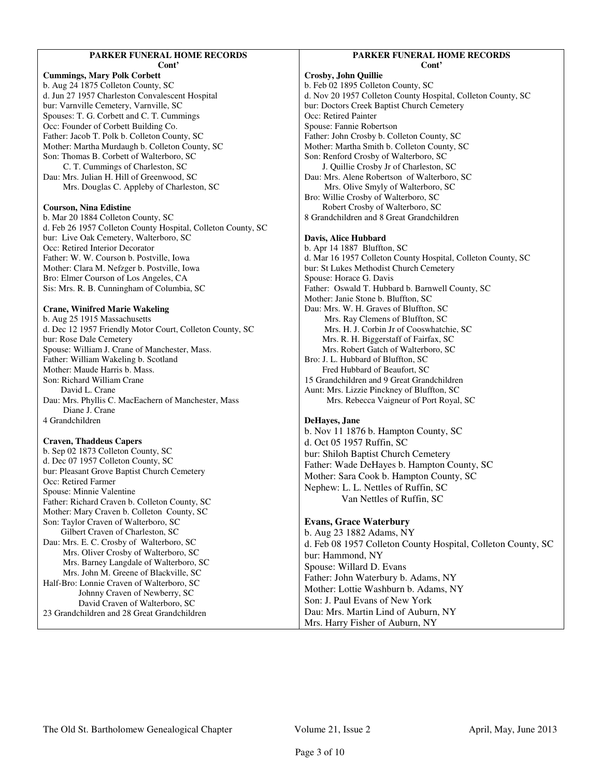#### **PARKER FUNERAL HOME RECORDS Cont'**

**Cummings, Mary Polk Corbett**  b. Aug 24 1875 Colleton County, SC d. Jun 27 1957 Charleston Convalescent Hospital bur: Varnville Cemetery, Varnville, SC Spouses: T. G. Corbett and C. T. Cummings Occ: Founder of Corbett Building Co. Father: Jacob T. Polk b. Colleton County, SC Mother: Martha Murdaugh b. Colleton County, SC Son: Thomas B. Corbett of Walterboro, SC C. T. Cummings of Charleston, SC Dau: Mrs. Julian H. Hill of Greenwood, SC Mrs. Douglas C. Appleby of Charleston, SC **Courson, Nina Edistine**  b. Mar 20 1884 Colleton County, SC d. Feb 26 1957 Colleton County Hospital, Colleton County, SC bur: Live Oak Cemetery, Walterboro, SC Occ: Retired Interior Decorator Father: W. W. Courson b. Postville, Iowa Mother: Clara M. Nefzger b. Postville, Iowa

Bro: Elmer Courson of Los Angeles, CA Sis: Mrs. R. B. Cunningham of Columbia, SC

# **Crane, Winifred Marie Wakeling**

b. Aug 25 1915 Massachusetts d. Dec 12 1957 Friendly Motor Court, Colleton County, SC bur: Rose Dale Cemetery Spouse: William J. Crane of Manchester, Mass. Father: William Wakeling b. Scotland Mother: Maude Harris b. Mass. Son: Richard William Crane David L. Crane Dau: Mrs. Phyllis C. MacEachern of Manchester, Mass Diane J. Crane 4 Grandchildren

### **Craven, Thaddeus Capers**

b. Sep 02 1873 Colleton County, SC d. Dec 07 1957 Colleton County, SC bur: Pleasant Grove Baptist Church Cemetery Occ: Retired Farmer Spouse: Minnie Valentine Father: Richard Craven b. Colleton County, SC Mother: Mary Craven b. Colleton County, SC Son: Taylor Craven of Walterboro, SC Gilbert Craven of Charleston, SC Dau: Mrs. E. C. Crosby of Walterboro, SC Mrs. Oliver Crosby of Walterboro, SC Mrs. Barney Langdale of Walterboro, SC Mrs. John M. Greene of Blackville, SC Half-Bro: Lonnie Craven of Walterboro, SC Johnny Craven of Newberry, SC David Craven of Walterboro, SC

23 Grandchildren and 28 Great Grandchildren

#### **PARKER FUNERAL HOME RECORDS Cont'**

**Crosby, John Quillie**  b. Feb 02 1895 Colleton County, SC d. Nov 20 1957 Colleton County Hospital, Colleton County, SC bur: Doctors Creek Baptist Church Cemetery Occ: Retired Painter Spouse: Fannie Robertson Father: John Crosby b. Colleton County, SC Mother: Martha Smith b. Colleton County, SC Son: Renford Crosby of Walterboro, SC J. Quillie Crosby Jr of Charleston, SC Dau: Mrs. Alene Robertson of Walterboro, SC Mrs. Olive Smyly of Walterboro, SC Bro: Willie Crosby of Walterboro, SC Robert Crosby of Walterboro, SC 8 Grandchildren and 8 Great Grandchildren **Davis, Alice Hubbard** 

b. Apr 14 1887 Bluffton, SC d. Mar 16 1957 Colleton County Hospital, Colleton County, SC bur: St Lukes Methodist Church Cemetery Spouse: Horace G. Davis Father: Oswald T. Hubbard b. Barnwell County, SC Mother: Janie Stone b. Bluffton, SC Dau: Mrs. W. H. Graves of Bluffton, SC Mrs. Ray Clemens of Bluffton, SC Mrs. H. J. Corbin Jr of Cooswhatchie, SC Mrs. R. H. Biggerstaff of Fairfax, SC Mrs. Robert Gatch of Walterboro, SC Bro: J. L. Hubbard of Bluffton, SC Fred Hubbard of Beaufort, SC 15 Grandchildren and 9 Great Grandchildren Aunt: Mrs. Lizzie Pinckney of Bluffton, SC Mrs. Rebecca Vaigneur of Port Royal, SC

### **DeHayes, Jane**

b. Nov 11 1876 b. Hampton County, SC d. Oct 05 1957 Ruffin, SC bur: Shiloh Baptist Church Cemetery Father: Wade DeHayes b. Hampton County, SC Mother: Sara Cook b. Hampton County, SC Nephew: L. L. Nettles of Ruffin, SC Van Nettles of Ruffin, SC

# **Evans, Grace Waterbury**

b. Aug 23 1882 Adams, NY d. Feb 08 1957 Colleton County Hospital, Colleton County, SC bur: Hammond, NY Spouse: Willard D. Evans Father: John Waterbury b. Adams, NY Mother: Lottie Washburn b. Adams, NY Son: J. Paul Evans of New York Dau: Mrs. Martin Lind of Auburn, NY Mrs. Harry Fisher of Auburn, NY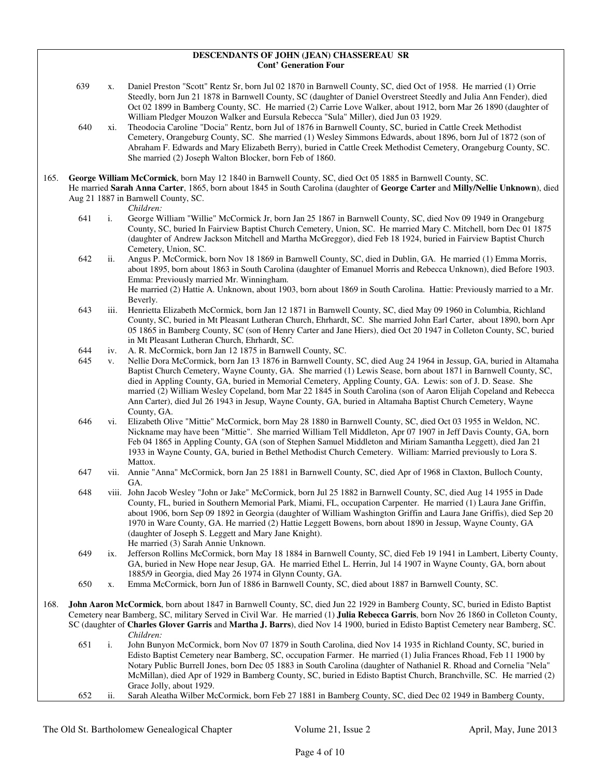#### **DESCENDANTS OF JOHN (JEAN) CHASSEREAU SR Cont' Generation Four**

- 639 x. Daniel Preston "Scott" Rentz Sr, born Jul 02 1870 in Barnwell County, SC, died Oct of 1958. He married (1) Orrie Steedly, born Jun 21 1878 in Barnwell County, SC (daughter of Daniel Overstreet Steedly and Julia Ann Fender), died Oct 02 1899 in Bamberg County, SC. He married (2) Carrie Love Walker, about 1912, born Mar 26 1890 (daughter of William Pledger Mouzon Walker and Eursula Rebecca "Sula" Miller), died Jun 03 1929.
- 640 xi. Theodocia Caroline "Docia" Rentz, born Jul of 1876 in Barnwell County, SC, buried in Cattle Creek Methodist Cemetery, Orangeburg County, SC. She married (1) Wesley Simmons Edwards, about 1896, born Jul of 1872 (son of Abraham F. Edwards and Mary Elizabeth Berry), buried in Cattle Creek Methodist Cemetery, Orangeburg County, SC. She married (2) Joseph Walton Blocker, born Feb of 1860.
- 165. **George William McCormick**, born May 12 1840 in Barnwell County, SC, died Oct 05 1885 in Barnwell County, SC.
	- He married **Sarah Anna Carter**, 1865, born about 1845 in South Carolina (daughter of **George Carter** and **Milly/Nellie Unknown**), died Aug 21 1887 in Barnwell County, SC.

*Children:*

- 641 i. George William "Willie" McCormick Jr, born Jan 25 1867 in Barnwell County, SC, died Nov 09 1949 in Orangeburg County, SC, buried In Fairview Baptist Church Cemetery, Union, SC. He married Mary C. Mitchell, born Dec 01 1875 (daughter of Andrew Jackson Mitchell and Martha McGreggor), died Feb 18 1924, buried in Fairview Baptist Church Cemetery, Union, SC.
- 642 ii. Angus P. McCormick, born Nov 18 1869 in Barnwell County, SC, died in Dublin, GA. He married (1) Emma Morris, about 1895, born about 1863 in South Carolina (daughter of Emanuel Morris and Rebecca Unknown), died Before 1903. Emma: Previously married Mr. Winningham. He married (2) Hattie A. Unknown, about 1903, born about 1869 in South Carolina. Hattie: Previously married to a Mr. Beverly.
- 643 iii. Henrietta Elizabeth McCormick, born Jan 12 1871 in Barnwell County, SC, died May 09 1960 in Columbia, Richland County, SC, buried in Mt Pleasant Lutheran Church, Ehrhardt, SC. She married John Earl Carter, about 1890, born Apr 05 1865 in Bamberg County, SC (son of Henry Carter and Jane Hiers), died Oct 20 1947 in Colleton County, SC, buried in Mt Pleasant Lutheran Church, Ehrhardt, SC.
- 644 iv. A. R. McCormick, born Jan 12 1875 in Barnwell County, SC.
- v. Nellie Dora McCormick, born Jan 13 1876 in Barnwell County, SC, died Aug 24 1964 in Jessup, GA, buried in Altamaha Baptist Church Cemetery, Wayne County, GA. She married (1) Lewis Sease, born about 1871 in Barnwell County, SC, died in Appling County, GA, buried in Memorial Cemetery, Appling County, GA. Lewis: son of J. D. Sease. She married (2) William Wesley Copeland, born Mar 22 1845 in South Carolina (son of Aaron Elijah Copeland and Rebecca Ann Carter), died Jul 26 1943 in Jesup, Wayne County, GA, buried in Altamaha Baptist Church Cemetery, Wayne County, GA.
- 646 vi. Elizabeth Olive "Mittie" McCormick, born May 28 1880 in Barnwell County, SC, died Oct 03 1955 in Weldon, NC. Nickname may have been "Mittie". She married William Tell Middleton, Apr 07 1907 in Jeff Davis County, GA, born Feb 04 1865 in Appling County, GA (son of Stephen Samuel Middleton and Miriam Samantha Leggett), died Jan 21 1933 in Wayne County, GA, buried in Bethel Methodist Church Cemetery. William: Married previously to Lora S. Mattox.
- 647 vii. Annie "Anna" McCormick, born Jan 25 1881 in Barnwell County, SC, died Apr of 1968 in Claxton, Bulloch County, GA.
- 648 viii. John Jacob Wesley "John or Jake" McCormick, born Jul 25 1882 in Barnwell County, SC, died Aug 14 1955 in Dade County, FL, buried in Southern Memorial Park, Miami, FL, occupation Carpenter. He married (1) Laura Jane Griffin, about 1906, born Sep 09 1892 in Georgia (daughter of William Washington Griffin and Laura Jane Griffis), died Sep 20 1970 in Ware County, GA. He married (2) Hattie Leggett Bowens, born about 1890 in Jessup, Wayne County, GA (daughter of Joseph S. Leggett and Mary Jane Knight). He married (3) Sarah Annie Unknown.
- 649 ix. Jefferson Rollins McCormick, born May 18 1884 in Barnwell County, SC, died Feb 19 1941 in Lambert, Liberty County, GA, buried in New Hope near Jesup, GA. He married Ethel L. Herrin, Jul 14 1907 in Wayne County, GA, born about 1885/9 in Georgia, died May 26 1974 in Glynn County, GA.
- 650 x. Emma McCormick, born Jun of 1886 in Barnwell County, SC, died about 1887 in Barnwell County, SC.
- 168. **John Aaron McCormick**, born about 1847 in Barnwell County, SC, died Jun 22 1929 in Bamberg County, SC, buried in Edisto Baptist Cemetery near Bamberg, SC, military Served in Civil War. He married (1) **Julia Rebecca Garris**, born Nov 26 1860 in Colleton County, SC (daughter of **Charles Glover Garris** and **Martha J. Barrs**), died Nov 14 1900, buried in Edisto Baptist Cemetery near Bamberg, SC. *Children:*
	- 651 i. John Bunyon McCormick, born Nov 07 1879 in South Carolina, died Nov 14 1935 in Richland County, SC, buried in Edisto Baptist Cemetery near Bamberg, SC, occupation Farmer. He married (1) Julia Frances Rhoad, Feb 11 1900 by Notary Public Burrell Jones, born Dec 05 1883 in South Carolina (daughter of Nathaniel R. Rhoad and Cornelia "Nela" McMillan), died Apr of 1929 in Bamberg County, SC, buried in Edisto Baptist Church, Branchville, SC. He married (2) Grace Jolly, about 1929.
	- 652 ii. Sarah Aleatha Wilber McCormick, born Feb 27 1881 in Bamberg County, SC, died Dec 02 1949 in Bamberg County,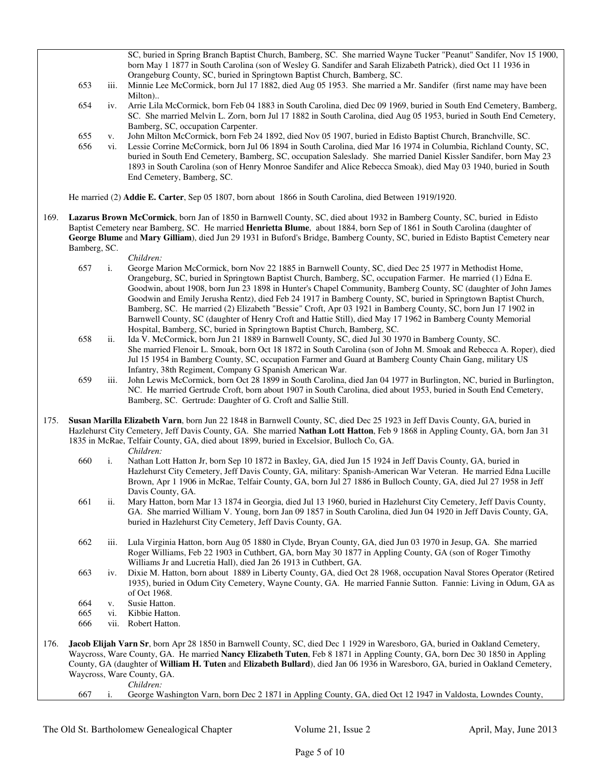SC, buried in Spring Branch Baptist Church, Bamberg, SC. She married Wayne Tucker "Peanut" Sandifer, Nov 15 1900, born May 1 1877 in South Carolina (son of Wesley G. Sandifer and Sarah Elizabeth Patrick), died Oct 11 1936 in Orangeburg County, SC, buried in Springtown Baptist Church, Bamberg, SC.

- 653 iii. Minnie Lee McCormick, born Jul 17 1882, died Aug 05 1953. She married a Mr. Sandifer (first name may have been Milton)..
- 654 iv. Arrie Lila McCormick, born Feb 04 1883 in South Carolina, died Dec 09 1969, buried in South End Cemetery, Bamberg, SC. She married Melvin L. Zorn, born Jul 17 1882 in South Carolina, died Aug 05 1953, buried in South End Cemetery, Bamberg, SC, occupation Carpenter.
- 655 v. John Milton McCormick, born Feb 24 1892, died Nov 05 1907, buried in Edisto Baptist Church, Branchville, SC.
- 656 vi. Lessie Corrine McCormick, born Jul 06 1894 in South Carolina, died Mar 16 1974 in Columbia, Richland County, SC, buried in South End Cemetery, Bamberg, SC, occupation Saleslady. She married Daniel Kissler Sandifer, born May 23 1893 in South Carolina (son of Henry Monroe Sandifer and Alice Rebecca Smoak), died May 03 1940, buried in South End Cemetery, Bamberg, SC.

He married (2) **Addie E. Carter**, Sep 05 1807, born about 1866 in South Carolina, died Between 1919/1920.

- 169. **Lazarus Brown McCormick**, born Jan of 1850 in Barnwell County, SC, died about 1932 in Bamberg County, SC, buried in Edisto Baptist Cemetery near Bamberg, SC. He married **Henrietta Blume**, about 1884, born Sep of 1861 in South Carolina (daughter of **George Blume** and **Mary Gilliam**), died Jun 29 1931 in Buford's Bridge, Bamberg County, SC, buried in Edisto Baptist Cemetery near Bamberg, SC.
	- *Children:*
	- 657 i. George Marion McCormick, born Nov 22 1885 in Barnwell County, SC, died Dec 25 1977 in Methodist Home, Orangeburg, SC, buried in Springtown Baptist Church, Bamberg, SC, occupation Farmer. He married (1) Edna E. Goodwin, about 1908, born Jun 23 1898 in Hunter's Chapel Community, Bamberg County, SC (daughter of John James Goodwin and Emily Jerusha Rentz), died Feb 24 1917 in Bamberg County, SC, buried in Springtown Baptist Church, Bamberg, SC. He married (2) Elizabeth "Bessie" Croft, Apr 03 1921 in Bamberg County, SC, born Jun 17 1902 in Barnwell County, SC (daughter of Henry Croft and Hattie Still), died May 17 1962 in Bamberg County Memorial Hospital, Bamberg, SC, buried in Springtown Baptist Church, Bamberg, SC.
	- 658 ii. Ida V. McCormick, born Jun 21 1889 in Barnwell County, SC, died Jul 30 1970 in Bamberg County, SC. She married Flenoir L. Smoak, born Oct 18 1872 in South Carolina (son of John M. Smoak and Rebecca A. Roper), died Jul 15 1954 in Bamberg County, SC, occupation Farmer and Guard at Bamberg County Chain Gang, military US Infantry, 38th Regiment, Company G Spanish American War.
	- 659 iii. John Lewis McCormick, born Oct 28 1899 in South Carolina, died Jan 04 1977 in Burlington, NC, buried in Burlington, NC. He married Gertrude Croft, born about 1907 in South Carolina, died about 1953, buried in South End Cemetery, Bamberg, SC. Gertrude: Daughter of G. Croft and Sallie Still.
- 175. **Susan Marilla Elizabeth Varn**, born Jun 22 1848 in Barnwell County, SC, died Dec 25 1923 in Jeff Davis County, GA, buried in Hazlehurst City Cemetery, Jeff Davis County, GA. She married **Nathan Lott Hatton**, Feb 9 1868 in Appling County, GA, born Jan 31 1835 in McRae, Telfair County, GA, died about 1899, buried in Excelsior, Bulloch Co, GA.
	- *Children:*
	- 660 i. Nathan Lott Hatton Jr, born Sep 10 1872 in Baxley, GA, died Jun 15 1924 in Jeff Davis County, GA, buried in Hazlehurst City Cemetery, Jeff Davis County, GA, military: Spanish-American War Veteran. He married Edna Lucille Brown, Apr 1 1906 in McRae, Telfair County, GA, born Jul 27 1886 in Bulloch County, GA, died Jul 27 1958 in Jeff Davis County, GA.
	- 661 ii. Mary Hatton, born Mar 13 1874 in Georgia, died Jul 13 1960, buried in Hazlehurst City Cemetery, Jeff Davis County, GA. She married William V. Young, born Jan 09 1857 in South Carolina, died Jun 04 1920 in Jeff Davis County, GA, buried in Hazlehurst City Cemetery, Jeff Davis County, GA.
	- 662 iii. Lula Virginia Hatton, born Aug 05 1880 in Clyde, Bryan County, GA, died Jun 03 1970 in Jesup, GA. She married Roger Williams, Feb 22 1903 in Cuthbert, GA, born May 30 1877 in Appling County, GA (son of Roger Timothy Williams Jr and Lucretia Hall), died Jan 26 1913 in Cuthbert, GA.
	- 663 iv. Dixie M. Hatton, born about 1889 in Liberty County, GA, died Oct 28 1968, occupation Naval Stores Operator (Retired 1935), buried in Odum City Cemetery, Wayne County, GA. He married Fannie Sutton. Fannie: Living in Odum, GA as of Oct 1968.
	- 664 v. Susie Hatton.
	- 665 vi. Kibbie Hatton.
	- 666 vii. Robert Hatton.
- 176. **Jacob Elijah Varn Sr**, born Apr 28 1850 in Barnwell County, SC, died Dec 1 1929 in Waresboro, GA, buried in Oakland Cemetery, Waycross, Ware County, GA. He married **Nancy Elizabeth Tuten**, Feb 8 1871 in Appling County, GA, born Dec 30 1850 in Appling County, GA (daughter of **William H. Tuten** and **Elizabeth Bullard**), died Jan 06 1936 in Waresboro, GA, buried in Oakland Cemetery, Waycross, Ware County, GA. *Children:*<br>667 i. George W

667 i. George Washington Varn, born Dec 2 1871 in Appling County, GA, died Oct 12 1947 in Valdosta, Lowndes County,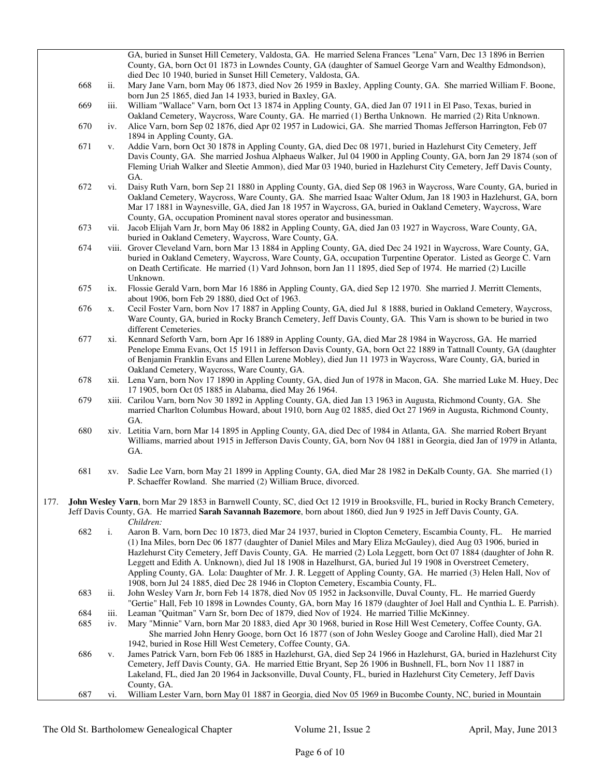|                                                                                                                                    |            |             | GA, buried in Sunset Hill Cemetery, Valdosta, GA. He married Selena Frances "Lena" Varn, Dec 13 1896 in Berrien                                                                                                                                                                                                                                                     |  |
|------------------------------------------------------------------------------------------------------------------------------------|------------|-------------|---------------------------------------------------------------------------------------------------------------------------------------------------------------------------------------------------------------------------------------------------------------------------------------------------------------------------------------------------------------------|--|
|                                                                                                                                    |            |             | County, GA, born Oct 01 1873 in Lowndes County, GA (daughter of Samuel George Varn and Wealthy Edmondson),<br>died Dec 10 1940, buried in Sunset Hill Cemetery, Valdosta, GA.                                                                                                                                                                                       |  |
|                                                                                                                                    | 668        | ii.         | Mary Jane Varn, born May 06 1873, died Nov 26 1959 in Baxley, Appling County, GA. She married William F. Boone,<br>born Jun 25 1865, died Jan 14 1933, buried in Baxley, GA.                                                                                                                                                                                        |  |
|                                                                                                                                    | 669        | iii.        | William "Wallace" Varn, born Oct 13 1874 in Appling County, GA, died Jan 07 1911 in El Paso, Texas, buried in                                                                                                                                                                                                                                                       |  |
|                                                                                                                                    | 670        | iv.         | Oakland Cemetery, Waycross, Ware County, GA. He married (1) Bertha Unknown. He married (2) Rita Unknown.<br>Alice Varn, born Sep 02 1876, died Apr 02 1957 in Ludowici, GA. She married Thomas Jefferson Harrington, Feb 07                                                                                                                                         |  |
|                                                                                                                                    | 671        | V.          | 1894 in Appling County, GA.<br>Addie Varn, born Oct 30 1878 in Appling County, GA, died Dec 08 1971, buried in Hazlehurst City Cemetery, Jeff                                                                                                                                                                                                                       |  |
|                                                                                                                                    |            |             | Davis County, GA. She married Joshua Alphaeus Walker, Jul 04 1900 in Appling County, GA, born Jan 29 1874 (son of<br>Fleming Uriah Walker and Sleetie Ammon), died Mar 03 1940, buried in Hazlehurst City Cemetery, Jeff Davis County,                                                                                                                              |  |
|                                                                                                                                    | 672        | vi.         | GA.<br>Daisy Ruth Varn, born Sep 21 1880 in Appling County, GA, died Sep 08 1963 in Waycross, Ware County, GA, buried in                                                                                                                                                                                                                                            |  |
|                                                                                                                                    |            |             | Oakland Cemetery, Waycross, Ware County, GA. She married Isaac Walter Odum, Jan 18 1903 in Hazlehurst, GA, born<br>Mar 17 1881 in Waynesville, GA, died Jan 18 1957 in Waycross, GA, buried in Oakland Cemetery, Waycross, Ware                                                                                                                                     |  |
|                                                                                                                                    | 673        |             | County, GA, occupation Prominent naval stores operator and businessman.<br>vii. Jacob Elijah Varn Jr, born May 06 1882 in Appling County, GA, died Jan 03 1927 in Waycross, Ware County, GA,                                                                                                                                                                        |  |
|                                                                                                                                    |            |             | buried in Oakland Cemetery, Waycross, Ware County, GA.                                                                                                                                                                                                                                                                                                              |  |
|                                                                                                                                    | 674        |             | viii. Grover Cleveland Varn, born Mar 13 1884 in Appling County, GA, died Dec 24 1921 in Waycross, Ware County, GA,<br>buried in Oakland Cemetery, Waycross, Ware County, GA, occupation Turpentine Operator. Listed as George C. Varn<br>on Death Certificate. He married (1) Vard Johnson, born Jan 11 1895, died Sep of 1974. He married (2) Lucille<br>Unknown. |  |
|                                                                                                                                    | 675        | ix.         | Flossie Gerald Varn, born Mar 16 1886 in Appling County, GA, died Sep 12 1970. She married J. Merritt Clements,<br>about 1906, born Feb 29 1880, died Oct of 1963.                                                                                                                                                                                                  |  |
|                                                                                                                                    | 676        | X.          | Cecil Foster Varn, born Nov 17 1887 in Appling County, GA, died Jul 8 1888, buried in Oakland Cemetery, Waycross,                                                                                                                                                                                                                                                   |  |
|                                                                                                                                    |            |             | Ware County, GA, buried in Rocky Branch Cemetery, Jeff Davis County, GA. This Varn is shown to be buried in two<br>different Cemeteries.                                                                                                                                                                                                                            |  |
|                                                                                                                                    | 677        | xi.         | Kennard Seforth Varn, born Apr 16 1889 in Appling County, GA, died Mar 28 1984 in Waycross, GA. He married<br>Penelope Emma Evans, Oct 15 1911 in Jefferson Davis County, GA, born Oct 22 1889 in Tattnall County, GA (daughter                                                                                                                                     |  |
|                                                                                                                                    |            |             | of Benjamin Franklin Evans and Ellen Lurene Mobley), died Jun 11 1973 in Waycross, Ware County, GA, buried in<br>Oakland Cemetery, Waycross, Ware County, GA.                                                                                                                                                                                                       |  |
|                                                                                                                                    | 678        |             | xii. Lena Varn, born Nov 17 1890 in Appling County, GA, died Jun of 1978 in Macon, GA. She married Luke M. Huey, Dec<br>17 1905, born Oct 05 1885 in Alabama, died May 26 1964.                                                                                                                                                                                     |  |
|                                                                                                                                    | 679        |             | xiii. Carilou Varn, born Nov 30 1892 in Appling County, GA, died Jan 13 1963 in Augusta, Richmond County, GA. She                                                                                                                                                                                                                                                   |  |
|                                                                                                                                    |            |             | married Charlton Columbus Howard, about 1910, born Aug 02 1885, died Oct 27 1969 in Augusta, Richmond County,<br>GA.                                                                                                                                                                                                                                                |  |
|                                                                                                                                    | 680        |             | xiv. Letitia Varn, born Mar 14 1895 in Appling County, GA, died Dec of 1984 in Atlanta, GA. She married Robert Bryant<br>Williams, married about 1915 in Jefferson Davis County, GA, born Nov 04 1881 in Georgia, died Jan of 1979 in Atlanta,                                                                                                                      |  |
|                                                                                                                                    |            |             | GA.                                                                                                                                                                                                                                                                                                                                                                 |  |
|                                                                                                                                    | 681        | XV.         | Sadie Lee Varn, born May 21 1899 in Appling County, GA, died Mar 28 1982 in DeKalb County, GA. She married (1)<br>P. Schaeffer Rowland. She married (2) William Bruce, divorced.                                                                                                                                                                                    |  |
| 177.                                                                                                                               |            |             | John Wesley Varn, born Mar 29 1853 in Barnwell County, SC, died Oct 12 1919 in Brooksville, FL, buried in Rocky Branch Cemetery,                                                                                                                                                                                                                                    |  |
| Jeff Davis County, GA. He married Sarah Savannah Bazemore, born about 1860, died Jun 9 1925 in Jeff Davis County, GA.<br>Children: |            |             |                                                                                                                                                                                                                                                                                                                                                                     |  |
|                                                                                                                                    | 682        | i.          | Aaron B. Varn, born Dec 10 1873, died Mar 24 1937, buried in Clopton Cemetery, Escambia County, FL. He married                                                                                                                                                                                                                                                      |  |
|                                                                                                                                    |            |             | (1) Ina Miles, born Dec 06 1877 (daughter of Daniel Miles and Mary Eliza McGauley), died Aug 03 1906, buried in<br>Hazlehurst City Cemetery, Jeff Davis County, GA. He married (2) Lola Leggett, born Oct 07 1884 (daughter of John R.                                                                                                                              |  |
|                                                                                                                                    |            |             | Leggett and Edith A. Unknown), died Jul 18 1908 in Hazelhurst, GA, buried Jul 19 1908 in Overstreet Cemetery,                                                                                                                                                                                                                                                       |  |
|                                                                                                                                    |            |             | Appling County, GA. Lola: Daughter of Mr. J. R. Leggett of Appling County, GA. He married (3) Helen Hall, Nov of<br>1908, born Jul 24 1885, died Dec 28 1946 in Clopton Cemetery, Escambia County, FL.                                                                                                                                                              |  |
|                                                                                                                                    | 683        | ii.         | John Wesley Varn Jr, born Feb 14 1878, died Nov 05 1952 in Jacksonville, Duval County, FL. He married Guerdy                                                                                                                                                                                                                                                        |  |
|                                                                                                                                    |            |             | "Gertie" Hall, Feb 10 1898 in Lowndes County, GA, born May 16 1879 (daughter of Joel Hall and Cynthia L. E. Parrish).                                                                                                                                                                                                                                               |  |
|                                                                                                                                    | 684<br>685 | iii.<br>iv. | Leaman "Quitman" Varn Sr, born Dec of 1879, died Nov of 1924. He married Tillie McKinney.<br>Mary "Minnie" Varn, born Mar 20 1883, died Apr 30 1968, buried in Rose Hill West Cemetery, Coffee County, GA.                                                                                                                                                          |  |
|                                                                                                                                    |            |             | She married John Henry Googe, born Oct 16 1877 (son of John Wesley Googe and Caroline Hall), died Mar 21<br>1942, buried in Rose Hill West Cemetery, Coffee County, GA.                                                                                                                                                                                             |  |
|                                                                                                                                    | 686        | V.          | James Patrick Varn, born Feb 06 1885 in Hazlehurst, GA, died Sep 24 1966 in Hazlehurst, GA, buried in Hazlehurst City                                                                                                                                                                                                                                               |  |
|                                                                                                                                    |            |             | Cemetery, Jeff Davis County, GA. He married Ettie Bryant, Sep 26 1906 in Bushnell, FL, born Nov 11 1887 in<br>Lakeland, FL, died Jan 20 1964 in Jacksonville, Duval County, FL, buried in Hazlehurst City Cemetery, Jeff Davis                                                                                                                                      |  |
|                                                                                                                                    |            |             | County, GA.                                                                                                                                                                                                                                                                                                                                                         |  |
|                                                                                                                                    | 687        | VI.         | William Lester Varn, born May 01 1887 in Georgia, died Nov 05 1969 in Bucombe County, NC, buried in Mountain                                                                                                                                                                                                                                                        |  |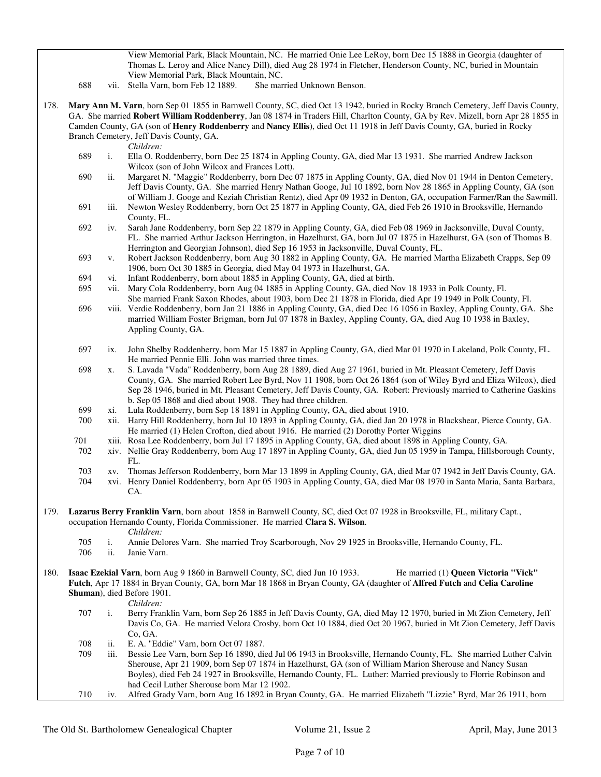178. **Mary Ann M. Varn**, born Sep 01 1855 in Barnwell County, SC, died Oct 13 1942, buried in Rocky Branch Cemetery, Jeff Davis County, GA. She married **Robert William Roddenberry**, Jan 08 1874 in Traders Hill, Charlton County, GA by Rev. Mizell, born Apr 28 1855 in Camden County, GA (son of **Henry Roddenberry** and **Nancy Ellis**), died Oct 11 1918 in Jeff Davis County, GA, buried in Rocky Branch Cemetery, Jeff Davis County, GA. *Children:* 689 i. Ella O. Roddenberry, born Dec 25 1874 in Appling County, GA, died Mar 13 1931. She married Andrew Jackson Wilcox (son of John Wilcox and Frances Lott). 690 ii. Margaret N. "Maggie" Roddenberry, born Dec 07 1875 in Appling County, GA, died Nov 01 1944 in Denton Cemetery, Jeff Davis County, GA. She married Henry Nathan Googe, Jul 10 1892, born Nov 28 1865 in Appling County, GA (son of William J. Googe and Keziah Christian Rentz), died Apr 09 1932 in Denton, GA, occupation Farmer/Ran the Sawmill. 691 iii. Newton Wesley Roddenberry, born Oct 25 1877 in Appling County, GA, died Feb 26 1910 in Brooksville, Hernando County, FL. 692 iv. Sarah Jane Roddenberry, born Sep 22 1879 in Appling County, GA, died Feb 08 1969 in Jacksonville, Duval County, FL. She married Arthur Jackson Herrington, in Hazelhurst, GA, born Jul 07 1875 in Hazelhurst, GA (son of Thomas B. Herrington and Georgian Johnson), died Sep 16 1953 in Jacksonville, Duval County, FL. 693 v. Robert Jackson Roddenberry, born Aug 30 1882 in Appling County, GA. He married Martha Elizabeth Crapps, Sep 09 1906, born Oct 30 1885 in Georgia, died May 04 1973 in Hazelhurst, GA. 694 vi. Infant Roddenberry, born about 1885 in Appling County, GA, died at birth. 695 vii. Mary Cola Roddenberry, born Aug 04 1885 in Appling County, GA, died Nov 18 1933 in Polk County, Fl. She married Frank Saxon Rhodes, about 1903, born Dec 21 1878 in Florida, died Apr 19 1949 in Polk County, Fl. 696 viii. Verdie Roddenberry, born Jan 21 1886 in Appling County, GA, died Dec 16 1056 in Baxley, Appling County, GA. She married William Foster Brigman, born Jul 07 1878 in Baxley, Appling County, GA, died Aug 10 1938 in Baxley, Appling County, GA. 697 ix. John Shelby Roddenberry, born Mar 15 1887 in Appling County, GA, died Mar 01 1970 in Lakeland, Polk County, FL. He married Pennie Elli. John was married three times. 698 x. S. Lavada "Vada" Roddenberry, born Aug 28 1889, died Aug 27 1961, buried in Mt. Pleasant Cemetery, Jeff Davis County, GA. She married Robert Lee Byrd, Nov 11 1908, born Oct 26 1864 (son of Wiley Byrd and Eliza Wilcox), died Sep 28 1946, buried in Mt. Pleasant Cemetery, Jeff Davis County, GA. Robert: Previously married to Catherine Gaskins b. Sep 05 1868 and died about 1908. They had three children. 699 xi. Lula Roddenberry, born Sep 18 1891 in Appling County, GA, died about 1910. 700 xii. Harry Hill Roddenberry, born Jul 10 1893 in Appling County, GA, died Jan 20 1978 in Blackshear, Pierce County, GA. He married (1) Helen Crofton, died about 1916. He married (2) Dorothy Porter Wiggins 701 xiii. Rosa Lee Roddenberry, born Jul 17 1895 in Appling County, GA, died about 1898 in Appling County, GA. 702 xiv. Nellie Gray Roddenberry, born Aug 17 1897 in Appling County, GA, died Jun 05 1959 in Tampa, Hillsborough County, FL. 703 xv. Thomas Jefferson Roddenberry, born Mar 13 1899 in Appling County, GA, died Mar 07 1942 in Jeff Davis County, GA. 704 xvi. Henry Daniel Roddenberry, born Apr 05 1903 in Appling County, GA, died Mar 08 1970 in Santa Maria, Santa Barbara, CA. 179. **Lazarus Berry Franklin Varn**, born about 1858 in Barnwell County, SC, died Oct 07 1928 in Brooksville, FL, military Capt., occupation Hernando County, Florida Commissioner. He married **Clara S. Wilson**. *Children:* 705 i. Annie Delores Varn. She married Troy Scarborough, Nov 29 1925 in Brooksville, Hernando County, FL. 706 ii. Janie Varn. 180. **Isaac Ezekial Varn**, born Aug 9 1860 in Barnwell County, SC, died Jun 10 1933. He married (1) **Queen Victoria "Vick" Futch**, Apr 17 1884 in Bryan County, GA, born Mar 18 1868 in Bryan County, GA (daughter of **Alfred Futch** and **Celia Caroline Shuman**), died Before 1901. *Children:* 707 i. Berry Franklin Varn, born Sep 26 1885 in Jeff Davis County, GA, died May 12 1970, buried in Mt Zion Cemetery, Jeff Davis Co, GA. He married Velora Crosby, born Oct 10 1884, died Oct 20 1967, buried in Mt Zion Cemetery, Jeff Davis Co, GA. 708 ii. E. A. "Eddie" Varn, born Oct 07 1887. 709 iii. Bessie Lee Varn, born Sep 16 1890, died Jul 06 1943 in Brooksville, Hernando County, FL. She married Luther Calvin Sherouse, Apr 21 1909, born Sep 07 1874 in Hazelhurst, GA (son of William Marion Sherouse and Nancy Susan Boyles), died Feb 24 1927 in Brooksville, Hernando County, FL. Luther: Married previously to Florrie Robinson and had Cecil Luther Sherouse born Mar 12 1902. 710 iv. Alfred Grady Varn, born Aug 16 1892 in Bryan County, GA. He married Elizabeth "Lizzie" Byrd, Mar 26 1911, born

View Memorial Park, Black Mountain, NC. He married Onie Lee LeRoy, born Dec 15 1888 in Georgia (daughter of Thomas L. Leroy and Alice Nancy Dill), died Aug 28 1974 in Fletcher, Henderson County, NC, buried in Mountain

View Memorial Park, Black Mountain, NC.

688 vii. Stella Varn, born Feb 12 1889.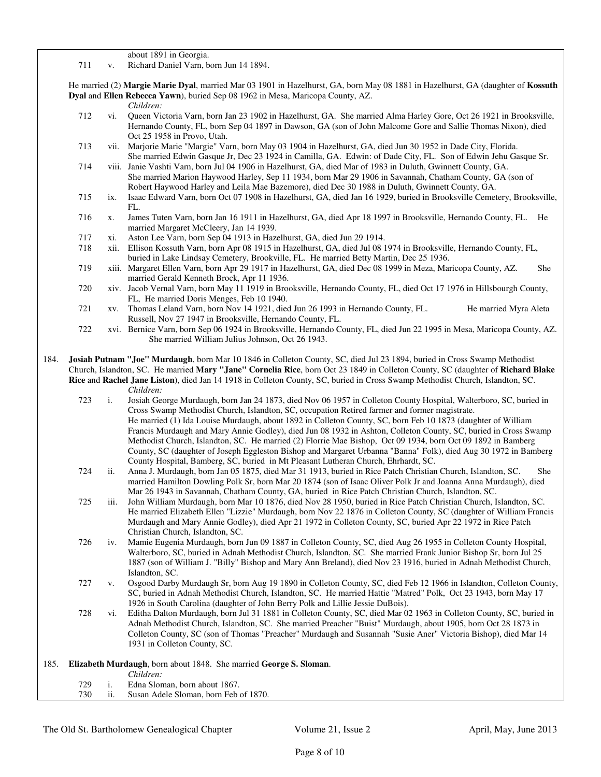about 1891 in Georgia.

711 v. Richard Daniel Varn, born Jun 14 1894.

 He married (2) **Margie Marie Dyal**, married Mar 03 1901 in Hazelhurst, GA, born May 08 1881 in Hazelhurst, GA (daughter of **Kossuth Dyal** and **Ellen Rebecca Yawn**), buried Sep 08 1962 in Mesa, Maricopa County, AZ.

- *Children:*
- 712 vi. Queen Victoria Varn, born Jan 23 1902 in Hazelhurst, GA. She married Alma Harley Gore, Oct 26 1921 in Brooksville, Hernando County, FL, born Sep 04 1897 in Dawson, GA (son of John Malcome Gore and Sallie Thomas Nixon), died Oct 25 1958 in Provo, Utah.
- 713 vii. Marjorie Marie "Margie" Varn, born May 03 1904 in Hazelhurst, GA, died Jun 30 1952 in Dade City, Florida. She married Edwin Gasque Jr, Dec 23 1924 in Camilla, GA. Edwin: of Dade City, FL. Son of Edwin Jehu Gasque Sr.
- 714 viii. Janie Vashti Varn, born Jul 04 1906 in Hazelhurst, GA, died Mar of 1983 in Duluth, Gwinnett County, GA. She married Marion Haywood Harley, Sep 11 1934, born Mar 29 1906 in Savannah, Chatham County, GA (son of Robert Haywood Harley and Leila Mae Bazemore), died Dec 30 1988 in Duluth, Gwinnett County, GA.
- 715 ix. Isaac Edward Varn, born Oct 07 1908 in Hazelhurst, GA, died Jan 16 1929, buried in Brooksville Cemetery, Brooksville, FL.
- 716 x. James Tuten Varn, born Jan 16 1911 in Hazelhurst, GA, died Apr 18 1997 in Brooksville, Hernando County, FL. He married Margaret McCleery, Jan 14 1939.
- 717 xi. Aston Lee Varn, born Sep 04 1913 in Hazelhurst, GA, died Jun 29 1914.
- 718 xii. Ellison Kossuth Varn, born Apr 08 1915 in Hazelhurst, GA, died Jul 08 1974 in Brooksville, Hernando County, FL, buried in Lake Lindsay Cemetery, Brookville, FL. He married Betty Martin, Dec 25 1936.
- 719 xiii. Margaret Ellen Varn, born Apr 29 1917 in Hazelhurst, GA, died Dec 08 1999 in Meza, Maricopa County, AZ. She married Gerald Kenneth Brock, Apr 11 1936.
- 720 xiv. Jacob Vernal Varn, born May 11 1919 in Brooksville, Hernando County, FL, died Oct 17 1976 in Hillsbourgh County, FL, He married Doris Menges, Feb 10 1940.
- 721 xv. Thomas Leland Varn, born Nov 14 1921, died Jun 26 1993 in Hernando County, FL. He married Myra Aleta Russell, Nov 27 1947 in Brooksville, Hernando County, FL.
- 722 xvi. Bernice Varn, born Sep 06 1924 in Brooksville, Hernando County, FL, died Jun 22 1995 in Mesa, Maricopa County, AZ. She married William Julius Johnson, Oct 26 1943.

184. **Josiah Putnam "Joe" Murdaugh**, born Mar 10 1846 in Colleton County, SC, died Jul 23 1894, buried in Cross Swamp Methodist Church, Islandton, SC. He married **Mary "Jane" Cornelia Rice**, born Oct 23 1849 in Colleton County, SC (daughter of **Richard Blake Rice** and **Rachel Jane Liston**), died Jan 14 1918 in Colleton County, SC, buried in Cross Swamp Methodist Church, Islandton, SC. *Children:*

- 723 i. Josiah George Murdaugh, born Jan 24 1873, died Nov 06 1957 in Colleton County Hospital, Walterboro, SC, buried in Cross Swamp Methodist Church, Islandton, SC, occupation Retired farmer and former magistrate. He married (1) Ida Louise Murdaugh, about 1892 in Colleton County, SC, born Feb 10 1873 (daughter of William Francis Murdaugh and Mary Annie Godley), died Jun 08 1932 in Ashton, Colleton County, SC, buried in Cross Swamp Methodist Church, Islandton, SC. He married (2) Florrie Mae Bishop, Oct 09 1934, born Oct 09 1892 in Bamberg County, SC (daughter of Joseph Eggleston Bishop and Margaret Urbanna "Banna" Folk), died Aug 30 1972 in Bamberg County Hospital, Bamberg, SC, buried in Mt Pleasant Lutheran Church, Ehrhardt, SC.
- 724 ii. Anna J. Murdaugh, born Jan 05 1875, died Mar 31 1913, buried in Rice Patch Christian Church, Islandton, SC. She married Hamilton Dowling Polk Sr, born Mar 20 1874 (son of Isaac Oliver Polk Jr and Joanna Anna Murdaugh), died Mar 26 1943 in Savannah, Chatham County, GA, buried in Rice Patch Christian Church, Islandton, SC.
- 725 iii. John William Murdaugh, born Mar 10 1876, died Nov 28 1950, buried in Rice Patch Christian Church, Islandton, SC. He married Elizabeth Ellen "Lizzie" Murdaugh, born Nov 22 1876 in Colleton County, SC (daughter of William Francis Murdaugh and Mary Annie Godley), died Apr 21 1972 in Colleton County, SC, buried Apr 22 1972 in Rice Patch Christian Church, Islandton, SC.
- 726 iv. Mamie Eugenia Murdaugh, born Jun 09 1887 in Colleton County, SC, died Aug 26 1955 in Colleton County Hospital, Walterboro, SC, buried in Adnah Methodist Church, Islandton, SC. She married Frank Junior Bishop Sr, born Jul 25 1887 (son of William J. "Billy" Bishop and Mary Ann Breland), died Nov 23 1916, buried in Adnah Methodist Church, Islandton, SC.
- 727 v. Osgood Darby Murdaugh Sr, born Aug 19 1890 in Colleton County, SC, died Feb 12 1966 in Islandton, Colleton County, SC, buried in Adnah Methodist Church, Islandton, SC. He married Hattie "Matred" Polk, Oct 23 1943, born May 17 1926 in South Carolina (daughter of John Berry Polk and Lillie Jessie DuBois).
- 728 vi. Editha Dalton Murdaugh, born Jul 31 1881 in Colleton County, SC, died Mar 02 1963 in Colleton County, SC, buried in Adnah Methodist Church, Islandton, SC. She married Preacher "Buist" Murdaugh, about 1905, born Oct 28 1873 in Colleton County, SC (son of Thomas "Preacher" Murdaugh and Susannah "Susie Aner" Victoria Bishop), died Mar 14 1931 in Colleton County, SC.

#### 185. **Elizabeth Murdaugh**, born about 1848. She married **George S. Sloman**. *Children:*<br>729 i. Edna Slor 729 i. Edna Sloman, born about 1867. ii. Susan Adele Sloman, born Feb of 1870.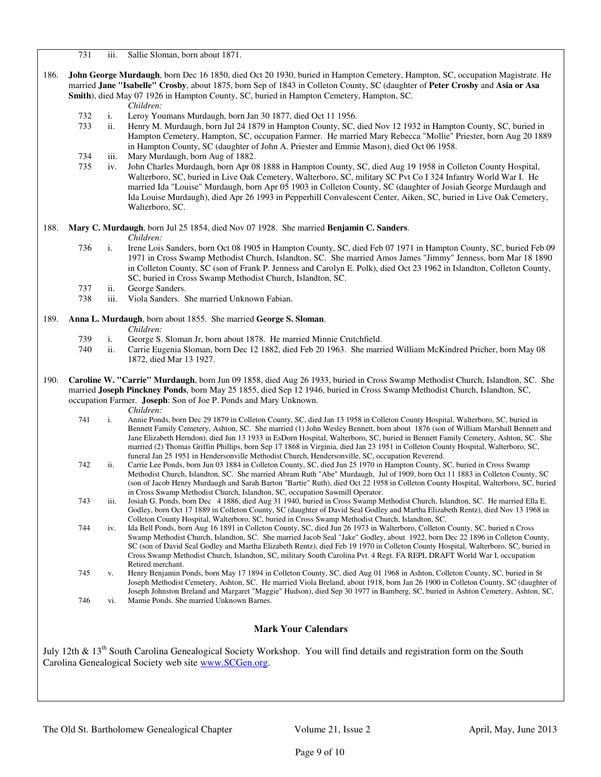731 iii. Sallie Sloman, born about 1871.

- 186. **John George Murdaugh**, born Dec 16 1850, died Oct 20 1930, buried in Hampton Cemetery, Hampton, SC, occupation Magistrate. He married **Jane "Isabelle" Crosby**, about 1875, born Sep of 1843 in Colleton County, SC (daughter of **Peter Crosby** and **Asia or Asa Smith**), died May 07 1926 in Hampton County, SC, buried in Hampton Cemetery, Hampton, SC.
	- *Children:*
	- 732 i. Leroy Youmans Murdaugh, born Jan 30 1877, died Oct 11 1956.
	- 733 ii. Henry M. Murdaugh, born Jul 24 1879 in Hampton County, SC, died Nov 12 1932 in Hampton County, SC, buried in Hampton Cemetery, Hampton, SC, occupation Farmer. He married Mary Rebecca "Mollie" Priester, born Aug 20 1889 in Hampton County, SC (daughter of John A. Priester and Emmie Mason), died Oct 06 1958.
	- 734 iii. Mary Murdaugh, born Aug of 1882.
	- 735 iv. John Charles Murdaugh, born Apr 08 1888 in Hampton County, SC, died Aug 19 1958 in Colleton County Hospital, Walterboro, SC, buried in Live Oak Cemetery, Walterboro, SC, military SC Pvt Co I 324 Infantry World War I. He married Ida "Louise" Murdaugh, born Apr 05 1903 in Colleton County, SC (daughter of Josiah George Murdaugh and Ida Louise Murdaugh), died Apr 26 1993 in Pepperhill Convalescent Center, Aiken, SC, buried in Live Oak Cemetery, Walterboro, SC.

188. **Mary C. Murdaugh**, born Jul 25 1854, died Nov 07 1928. She married **Benjamin C. Sanders**.

*Children:*

- 736 i. Irene Lois Sanders, born Oct 08 1905 in Hampton County, SC, died Feb 07 1971 in Hampton County, SC, buried Feb 09 1971 in Cross Swamp Methodist Church, Islandton, SC. She married Amos James "Jimmy" Jenness, born Mar 18 1890 in Colleton County, SC (son of Frank P. Jenness and Carolyn E. Polk), died Oct 23 1962 in Islandton, Colleton County, SC, buried in Cross Swamp Methodist Church, Islandton, SC.
- 737 ii. George Sanders.
- 738 iii. Viola Sanders. She married Unknown Fabian.

# 189. **Anna L. Murdaugh**, born about 1855. She married **George S. Sloman**.

- *Children:*<br>739 i. George S.
- i. George S. Sloman Jr, born about 1878. He married Minnie Crutchfield.
- 740 ii. Carrie Eugenia Sloman, born Dec 12 1882, died Feb 20 1963. She married William McKindred Pricher, born May 08 1872, died Mar 13 1927.
- 190. **Caroline W. "Carrie" Murdaugh**, born Jun 09 1858, died Aug 26 1933, buried in Cross Swamp Methodist Church, Islandton, SC. She married **Joseph Pinckney Ponds**, born May 25 1855, died Sep 12 1946, buried in Cross Swamp Methodist Church, Islandton, SC, occupation Farmer. **Joseph**: Son of Joe P. Ponds and Mary Unknown.

- *Children:*<br>741 i Annie Pone 1. Annie Ponds, born Dec 29 1879 in Colleton County, SC, died Jan 13 1958 in Colleton County Hospital, Walterboro, SC, buried in Bennett Family Cemetery, Ashton, SC. She married (1) John Wesley Bennett, born about 1876 (son of William Marshall Bennett and Jane Elizabeth Herndon), died Jun 13 1933 in EsDorn Hospital, Walterboro, SC, buried in Bennett Family Cemetery, Ashton, SC. She married (2) Thomas Griffin Phillips, born Sep 17 1868 in Virginia, died Jan 23 1951 in Colleton County Hospital, Walterboro, SC, funeral Jan 25 1951 in Hendersonville Methodist Church, Hendersonville, SC, occupation Reverend.
- 742 ii. Carrie Lee Ponds, born Jun 03 1884 in Colleton County, SC, died Jun 25 1970 in Hampton County, SC, buried in Cross Swamp Methodist Church, Islandton, SC. She married Abram Ruth "Abe" Murdaugh, Jul of 1909, born Oct 11 1883 in Colleton County, SC (son of Jacob Henry Murdaugh and Sarah Barton "Bartie" Ruth), died Oct 22 1958 in Colleton County Hospital, Walterboro, SC, buried in Cross Swamp Methodist Church, Islandton, SC, occupation Sawmill Operator.
- 743 iii. Josiah G. Ponds, born Dec 4 1886, died Aug 31 1940, buried in Cross Swamp Methodist Church, Islandton, SC. He married Ella E. Godley, born Oct 17 1889 in Colleton County, SC (daughter of David Seal Godley and Martha Elizabeth Rentz), died Nov 13 1968 in Colleton County Hospital, Walterboro, SC, buried in Cross Swamp Methodist Church, Islandton, SC.
- 744 iv. Ida Bell Ponds, born Aug 16 1891 in Colleton County, SC, died Jun 26 1973 in Walterboro, Colleton County, SC, buried n Cross Swamp Methodist Church, Islandton, SC. She married Jacob Seal "Jake" Godley, about 1922, born Dec 22 1896 in Colleton County, SC (son of David Seal Godley and Martha Elizabeth Rentz), died Feb 19 1970 in Colleton County Hospital, Walterboro, SC, buried in Cross Swamp Methodist Church, Islandton, SC, military South Carolina Pvt. 4 Regt. FA REPL DRAFT World War I, occupation Retired merchant.
- 745 v. Henry Benjamin Ponds, born May 17 1894 in Colleton County, SC, died Aug 01 1968 in Ashton, Colleton County, SC, buried in St Joseph Methodist Cemetery, Ashton, SC. He married Viola Breland, about 1918, born Jan 26 1900 in Colleton County, SC (daughter of Joseph Johnston Breland and Margaret "Maggie" Hudson), died Sep 30 1977 in Bamberg, SC, buried in Ashton Cemetery, Ashton, SC,
- 746 vi. Mamie Ponds. She married Unknown Barnes.

# **Mark Your Calendars**

July 12th & 13<sup>th</sup> South Carolina Genealogical Society Workshop. You will find details and registration form on the South Carolina Genealogical Society web site www.SCGen.org.